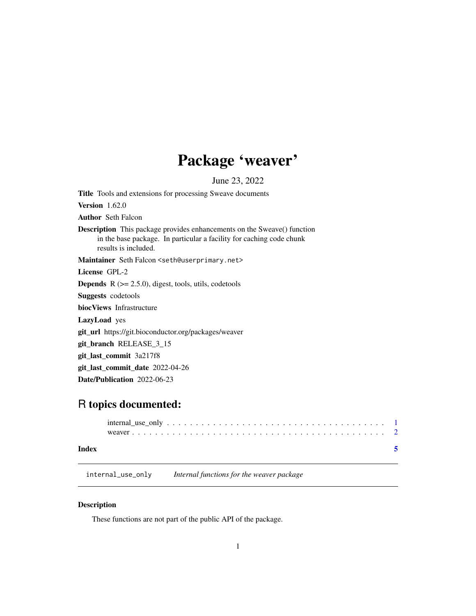## Package 'weaver'

June 23, 2022

<span id="page-0-1"></span><span id="page-0-0"></span>Title Tools and extensions for processing Sweave documents Version 1.62.0 Author Seth Falcon Description This package provides enhancements on the Sweave() function in the base package. In particular a facility for caching code chunk results is included. Maintainer Seth Falcon <seth@userprimary.net> License GPL-2 **Depends**  $R$  ( $>= 2.5.0$ ), digest, tools, utils, codetools Suggests codetools biocViews Infrastructure LazyLoad yes git\_url https://git.bioconductor.org/packages/weaver git\_branch RELEASE\_3\_15 git\_last\_commit 3a217f8 git\_last\_commit\_date 2022-04-26 Date/Publication 2022-06-23

## R topics documented:

|       | $internal_use_only \dots \dots \dots \dots \dots \dots \dots \dots \dots \dots \dots \dots \dots \dots \dots \dots \dots$ |  |
|-------|---------------------------------------------------------------------------------------------------------------------------|--|
|       |                                                                                                                           |  |
| Index |                                                                                                                           |  |

internal\_use\_only *Internal functions for the weaver package*

### Description

These functions are not part of the public API of the package.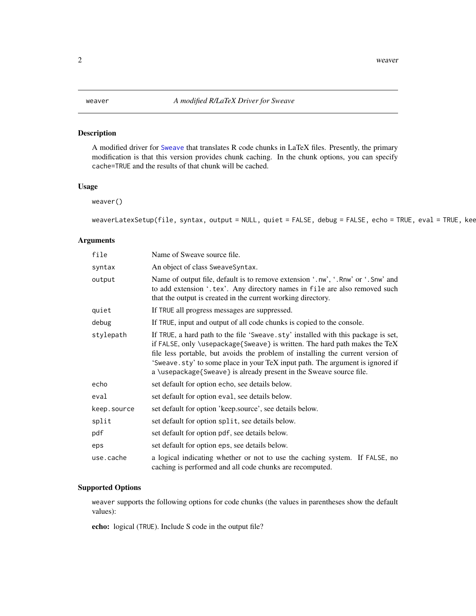#### <span id="page-1-0"></span>Description

A modified driver for [Sweave](#page-0-1) that translates R code chunks in LaTeX files. Presently, the primary modification is that this version provides chunk caching. In the chunk options, you can specify cache=TRUE and the results of that chunk will be cached.

#### Usage

weaver()

```
weaverLatexSetup(file, syntax, output = NULL, quiet = FALSE, debug = FALSE, echo = TRUE, eval = TRUE, kee
```
#### Arguments

| file        | Name of Sweave source file.                                                                                                                                                                                                                                                                                                                                                                                |
|-------------|------------------------------------------------------------------------------------------------------------------------------------------------------------------------------------------------------------------------------------------------------------------------------------------------------------------------------------------------------------------------------------------------------------|
| syntax      | An object of class SweaveSyntax.                                                                                                                                                                                                                                                                                                                                                                           |
| output      | Name of output file, default is to remove extension '.nw', '.Rnw' or '.Snw' and<br>to add extension '.tex'. Any directory names in file are also removed such<br>that the output is created in the current working directory.                                                                                                                                                                              |
| quiet       | If TRUE all progress messages are suppressed.                                                                                                                                                                                                                                                                                                                                                              |
| debug       | If TRUE, input and output of all code chunks is copied to the console.                                                                                                                                                                                                                                                                                                                                     |
| stylepath   | If TRUE, a hard path to the file 'Sweave.sty' installed with this package is set,<br>if FALSE, only \usepackage{Sweave} is written. The hard path makes the TeX<br>file less portable, but avoids the problem of installing the current version of<br>'Sweave.sty' to some place in your TeX input path. The argument is ignored if<br>a \usepackage{Sweave} is already present in the Sweave source file. |
| echo        | set default for option echo, see details below.                                                                                                                                                                                                                                                                                                                                                            |
| eval        | set default for option eval, see details below.                                                                                                                                                                                                                                                                                                                                                            |
| keep.source | set default for option 'keep.source', see details below.                                                                                                                                                                                                                                                                                                                                                   |
| split       | set default for option split, see details below.                                                                                                                                                                                                                                                                                                                                                           |
| pdf         | set default for option pdf, see details below.                                                                                                                                                                                                                                                                                                                                                             |
| eps         | set default for option eps, see details below.                                                                                                                                                                                                                                                                                                                                                             |
| use.cache   | a logical indicating whether or not to use the caching system. If FALSE, no<br>caching is performed and all code chunks are recomputed.                                                                                                                                                                                                                                                                    |

#### Supported Options

weaver supports the following options for code chunks (the values in parentheses show the default values):

echo: logical (TRUE). Include S code in the output file?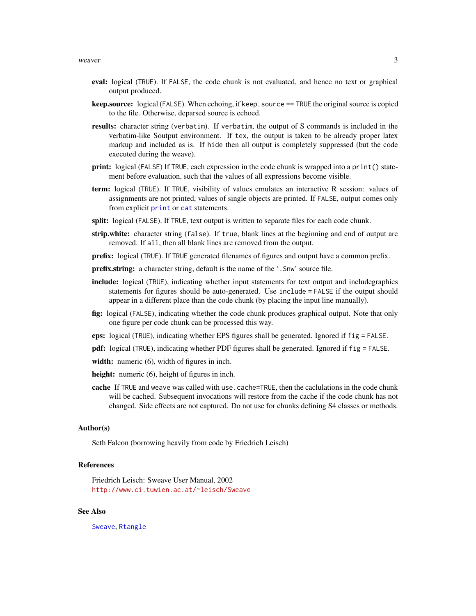#### <span id="page-2-0"></span>weaver 3

- eval: logical (TRUE). If FALSE, the code chunk is not evaluated, and hence no text or graphical output produced.
- **keep.source:** logical (FALSE). When echoing, if keep. source == TRUE the original source is copied to the file. Otherwise, deparsed source is echoed.
- results: character string (verbatim). If verbatim, the output of S commands is included in the verbatim-like Soutput environment. If tex, the output is taken to be already proper latex markup and included as is. If hide then all output is completely suppressed (but the code executed during the weave).
- print: logical (FALSE) If TRUE, each expression in the code chunk is wrapped into a print () statement before evaluation, such that the values of all expressions become visible.
- term: logical (TRUE). If TRUE, visibility of values emulates an interactive R session: values of assignments are not printed, values of single objects are printed. If FALSE, output comes only from explicit [print](#page-0-1) or [cat](#page-0-1) statements.
- split: logical (FALSE). If TRUE, text output is written to separate files for each code chunk.
- strip.white: character string (false). If true, blank lines at the beginning and end of output are removed. If all, then all blank lines are removed from the output.
- prefix: logical (TRUE). If TRUE generated filenames of figures and output have a common prefix.
- **prefix.string:** a character string, default is the name of the '. Snw' source file.
- include: logical (TRUE), indicating whether input statements for text output and includegraphics statements for figures should be auto-generated. Use include = FALSE if the output should appear in a different place than the code chunk (by placing the input line manually).
- fig: logical (FALSE), indicating whether the code chunk produces graphical output. Note that only one figure per code chunk can be processed this way.
- eps: logical (TRUE), indicating whether EPS figures shall be generated. Ignored if fig = FALSE.
- pdf: logical (TRUE), indicating whether PDF figures shall be generated. Ignored if fig = FALSE.
- width: numeric (6), width of figures in inch.
- height: numeric (6), height of figures in inch.
- cache If TRUE and weave was called with use.cache=TRUE, then the caclulations in the code chunk will be cached. Subsequent invocations will restore from the cache if the code chunk has not changed. Side effects are not captured. Do not use for chunks defining S4 classes or methods.

#### Author(s)

Seth Falcon (borrowing heavily from code by Friedrich Leisch)

#### References

Friedrich Leisch: Sweave User Manual, 2002 <http://www.ci.tuwien.ac.at/~leisch/Sweave>

#### See Also

[Sweave](#page-0-1), [Rtangle](#page-0-1)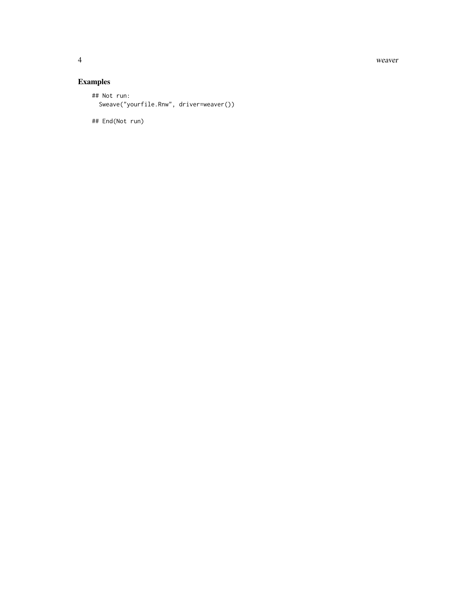4 weaver

### Examples

```
## Not run:
 Sweave("yourfile.Rnw", driver=weaver())
```
## End(Not run)